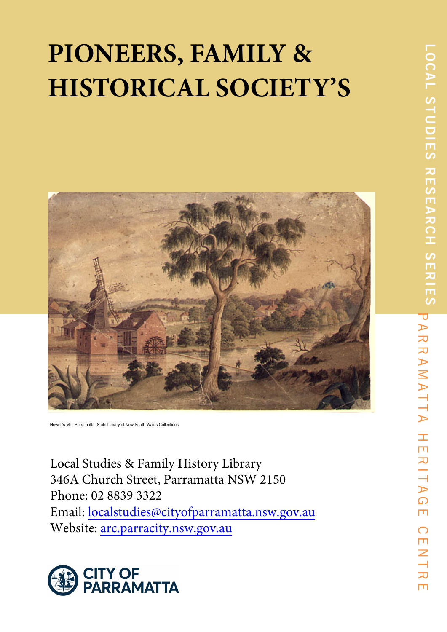# **PIONEERS, FAMILY & HISTORICAL SOCIETY'S**



Howell's Mill, Parramatta, State Library of New South Wales Collections

Local Studies & Family History Library 346A Church Street, Parramatta NSW 2150 Phone: 02 8839 3322 Email: localstudies@cityofparramatta.nsw.gov.au Website: arc.parracity.nsw.gov.au

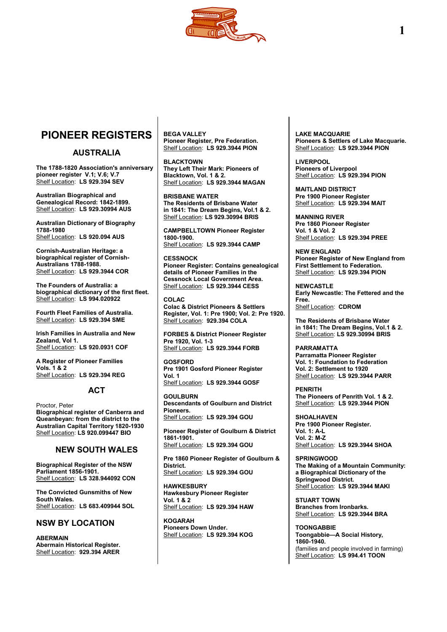

## **PIONEER REGISTERS**

## **AUSTRALIA**

**The 1788-1820 Association's anniversary pioneer register V.1; V.6; V.7** Shelf Location: **LS 929.394 SEV**

**Australian Biographical and Genealogical Record: 1842-1899.** Shelf Location: **LS 929.30994 AUS**

**Australian Dictionary of Biography 1788-1980** Shelf Location: **LS 920.094 AUS**

**Cornish-Australian Heritage: a biographical register of Cornish-Australians 1788-1988.** Shelf Location: **LS 929.3944 COR**

**The Founders of Australia: a biographical dictionary of the first fleet.** Shelf Location: **LS 994.020922**

**Fourth Fleet Families of Australia.** Shelf Location: **LS 929.394 SME**

**Irish Families in Australia and New Zealand, Vol 1.** Shelf Location: **LS 920.0931 COF**

**A Register of Pioneer Families Vols. 1 & 2** Shelf Location: **LS 929.394 REG**

## **ACT**

Proctor, Peter **Biographical register of Canberra and Queanbeyan: from the district to the Australian Capital Territory 1820-1930** Shelf Location: **LS 920.099447 BIO**

## **NEW SOUTH WALES**

**Biographical Register of the NSW Parliament 1856-1901.** Shelf Location: **LS 328.944092 CON**

**The Convicted Gunsmiths of New South Wales.** Shelf Location: **LS 683.409944 SOL**

## **NSW BY LOCATION**

**ABERMAIN Abermain Historical Register.** Shelf Location: **929.394 ARER**

**BEGA VALLEY Pioneer Register, Pre Federation.** Shelf Location: **LS 929.3944 PION**

**BLACKTOWN They Left Their Mark: Pioneers of Blacktown, Vol. 1 & 2.** Shelf Location: **LS 929.3944 MAGAN**

**BRISBANE WATER The Residents of Brisbane Water in 1841: The Dream Begins, Vol.1 & 2.** Shelf Location: **LS 929.30994 BRIS**

**CAMPBELLTOWN Pioneer Register 1800-1900.** Shelf Location: **LS 929.3944 CAMP**

**CESSNOCK Pioneer Register: Contains genealogical details of Pioneer Families in the Cessnock Local Government Area.** Shelf Location: **LS 929.3944 CESS**

**COLAC Colac & District Pioneers & Settlers Register, Vol. 1: Pre 1900; Vol. 2: Pre 1920.** Shelf Location: **929.394 COLA**

**FORBES & District Pioneer Register Pre 1920, Vol. 1-3** Shelf Location: **LS 929.3944 FORB**

**GOSFORD Pre 1901 Gosford Pioneer Register Vol. 1** Shelf Location: **LS 929.3944 GOSF**

**GOULBURN Descendants of Goulburn and District Pioneers.** Shelf Location: **LS 929.394 GOU**

**Pioneer Register of Goulburn & District 1861-1901.** Shelf Location: **LS 929.394 GOU**

**Pre 1860 Pioneer Register of Goulburn & District.** Shelf Location: **LS 929.394 GOU**

**HAWKESBURY Hawkesbury Pioneer Register Vol. 1 & 2** Shelf Location: **LS 929.394 HAW**

**KOGARAH Pioneers Down Under.** Shelf Location: **LS 929.394 KOG** **LAKE MACQUARIE Pioneers & Settlers of Lake Macquarie.** Shelf Location: **LS 929.3944 PION**

**LIVERPOOL Pioneers of Liverpool** Shelf Location: **LS 929.394 PION**

**MAITLAND DISTRICT Pre 1900 Pioneer Register** Shelf Location: **LS 929.394 MAIT**

**MANNING RIVER Pre 1860 Pioneer Register Vol. 1 & Vol. 2** Shelf Location: **LS 929.394 PREE**

**NEW ENGLAND Pioneer Register of New England from First Settlement to Federation.** Shelf Location: **LS 929.394 PION**

**NEWCASTLE Early Newcastle: The Fettered and the Free.** Shelf Location: **CDROM**

**The Residents of Brisbane Water in 1841: The Dream Begins, Vol.1 & 2.** Shelf Location: **LS 929.30994 BRIS**

**PARRAMATTA Parramatta Pioneer Register Vol. 1: Foundation to Federation Vol. 2: Settlement to 1920** Shelf Location: **LS 929.3944 PARR**

**PENRITH The Pioneers of Penrith Vol. 1 & 2.** Shelf Location: **LS 929.3944 PION**

**SHOALHAVEN Pre 1900 Pioneer Register. Vol. 1: A-L Vol. 2: M-Z** Shelf Location: **LS 929.3944 SHOA**

**SPRINGWOOD The Making of a Mountain Community: a Biographical Dictionary of the Springwood District.** Shelf Location: **LS 929.3944 MAKI**

**STUART TOWN Branches from Ironbarks.** Shelf Location: **LS 929.3944 BRA**

**TOONGABBIE Toongabbie—A Social History, 1860-1940.** (families and people involved in farming) Shelf Location: **LS 994.41 TOON**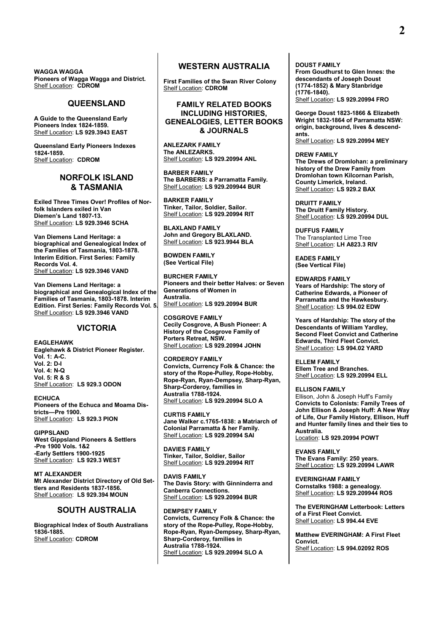**WAGGA WAGGA Pioneers of Wagga Wagga and District.** Shelf Location: **CDROM**

## **QUEENSLAND**

**A Guide to the Queensland Early Pioneers Index 1824-1859.** Shelf Location: **LS 929.3943 EAST**

**Queensland Early Pioneers Indexes 1824-1859.** Shelf Location: **CDROM**

## **NORFOLK ISLAND & TASMANIA**

**Exiled Three Times Over! Profiles of Norfolk Islanders exiled in Van Diemen's Land 1807-13.** Shelf Location: **LS 929.3946 SCHA**

**Van Diemens Land Heritage: a biographical and Genealogical Index of the Families of Tasmania, 1803-1878. Interim Edition. First Series: Family Records Vol. 4.** Shelf Location: **LS 929.3946 VAND**

**Van Diemens Land Heritage: a biographical and Genealogical Index of the Families of Tasmania, 1803-1878. Interim Edition. First Series: Family Records Vol. 5.** Shelf Location: **LS 929.3946 VAND**

## **VICTORIA**

**EAGLEHAWK Eaglehawk & District Pioneer Register. Vol. 1: A-C. Vol. 2: D-I Vol. 4: N-Q Vol. 5: R & S** Shelf Location: **LS 929.3 ODON**

**ECHUCA Pioneers of the Echuca and Moama Districts—Pre 1900.** Shelf Location: **LS 929.3 PION**

**GIPPSLAND West Gippsland Pioneers & Settlers -Pre 1900 Vols. 1&2 -Early Settlers 1900-1925** Shelf Location: **LS 929.3 WEST**

**MT ALEXANDER Mt Alexander District Directory of Old Settlers and Residents 1837-1856.** Shelf Location: **LS 929.394 MOUN**

## **SOUTH AUSTRALIA**

**Biographical Index of South Australians 1836-1885.** Shelf Location: **CDROM**

## **WESTERN AUSTRALIA**

**First Families of the Swan River Colony** Shelf Location: **CDROM**

## **FAMILY RELATED BOOKS INCLUDING HISTORIES, GENEALOGIES, LETTER BOOKS & JOURNALS**

**ANLEZARK FAMILY The ANLEZARKS.** Shelf Location: **LS 929.20994 ANL**

**BARBER FAMILY The BARBERS: a Parramatta Family.** Shelf Location: **LS 929.209944 BUR**

**BARKER FAMILY Tinker, Tailor, Soldier, Sailor.** Shelf Location: **LS 929.20994 RIT**

**BLAXLAND FAMILY John and Gregory BLAXLAND.** Shelf Location: **LS 923.9944 BLA**

**BOWDEN FAMILY (See Vertical File)**

**BURCHER FAMILY Pioneers and their better Halves: or Seven Generations of Women in Australia.** Shelf Location: **LS 929.20994 BUR**

**COSGROVE FAMILY Cecily Cosgrove, A Bush Pioneer: A History of the Cosgrove Family of Porters Retreat, NSW.** Shelf Location: **LS 929.20994 JOHN**

**CORDEROY FAMILY Convicts, Currency Folk & Chance: the story of the Rope-Pulley, Rope-Hobby, Rope-Ryan, Ryan-Dempsey, Sharp-Ryan, Sharp-Corderoy, families in Australia 1788-1924.** Shelf Location: **LS 929.20994 SLO A**

**CURTIS FAMILY Jane Walker c.1765-1838: a Matriarch of Colonial Parramatta & her Family.** Shelf Location: **LS 929.20994 SAI**

**DAVIES FAMILY Tinker, Tailor, Soldier, Sailor** Shelf Location: **LS 929.20994 RIT**

**DAVIS FAMILY The Davis Story: with Ginninderra and Canberra Connections.** Shelf Location: **LS 929.20994 BUR**

**DEMPSEY FAMILY Convicts, Currency Folk & Chance: the story of the Rope-Pulley, Rope-Hobby, Rope-Ryan, Ryan-Dempsey, Sharp-Ryan, Sharp-Corderoy, families in Australia 1788-1924.** Shelf Location: **LS 929.20994 SLO A**

**DOUST FAMILY From Goudhurst to Glen Innes: the descendants of Joseph Doust (1774-1852) & Mary Stanbridge (1776-1840).** Shelf Location: **LS 929.20994 FRO**

**George Doust 1823-1866 & Elizabeth Wright 1832-1864 of Parramatta NSW: origin, background, lives & descendants.** Shelf Location: **LS 929.20994 MEY**

**DREW FAMILY The Drews of Dromlohan: a preliminary history of the Drew Family from Dromlohan town Kilcornan Parish, County Limerick, Ireland.** Shelf Location: **LS 929.2 BAX**

**DRUITT FAMILY The Druitt Family History.** Shelf Location: **LS 929.20994 DUL**

**DUFFUS FAMILY** The Transplanted Lime Tree Shelf Location: **LH A823.3 RIV**

**EADES FAMILY (See Vertical File)**

**EDWARDS FAMILY Years of Hardship: The story of Catherine Edwards, a Pioneer of Parramatta and the Hawkesbury.** Shelf Location: **LS 994.02 EDW**

**Years of Hardship: The story of the Descendants of William Yardley, Second Fleet Convict and Catherine Edwards, Third Fleet Convict.** Shelf Location: **LS 994.02 YARD**

**ELLEM FAMILY Ellem Tree and Branches.** Shelf Location: **LS 929.20994 ELL**

**ELLISON FAMILY** Ellison, John & Joseph Huff's Family **Convicts to Colonists: Family Trees of John Ellison & Joseph Huff: A New Way of Life, Our Family History, Ellison, Huff and Hunter family lines and their ties to Australia.** Location: **LS 929.20994 POWT**

**EVANS FAMILY The Evans Family: 250 years.** Shelf Location: **LS 929.20994 LAWR**

**EVERINGHAM FAMILY Cornstalks 1988: a genealogy.** Shelf Location: **LS 929.209944 ROS**

**The EVERINGHAM Letterbook: Letters of a First Fleet Convict.** Shelf Location: **LS 994.44 EVE**

**Matthew EVERINGHAM: A First Fleet Convict.** Shelf Location: **LS 994.02092 ROS**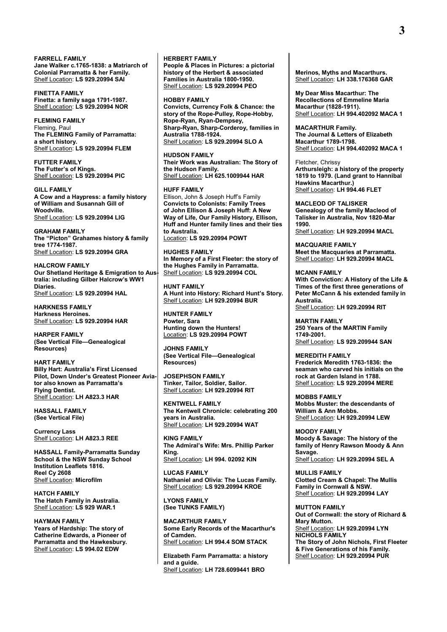**FARRELL FAMILY Jane Walker c.1765-1838: a Matriarch of Colonial Parramatta & her Family.** Shelf Location: **LS 929.20994 SAI**

**FINETTA FAMILY Finetta: a family saga 1791-1987.** Shelf Location: **LS 929.20994 NOR**

## **FLEMING FAMILY**

Fleming, Paul **The FLEMING Family of Parramatta: a short history.** Shelf Location: **LS 929.20994 FLEM**

**FUTTER FAMILY The Futter's of Kings.** Shelf Location: **LS 929.20994 PIC**

**GILL FAMILY A Cow and a Haypress: a family history of William and Susannah Gill of Woodville.** Shelf Location: **LS 929.20994 LIG**

**GRAHAM FAMILY The "Picton" Grahames history & family tree 1774-1987.** Shelf Location: **LS 929.20994 GRA**

**HALCROW FAMILY Our Shetland Heritage & Emigration to Australia: including Gilber Halcrow's WW1 Diaries.** Shelf Location: **LS 929.20994 HAL**

**HARKNESS FAMILY Harkness Heroines.** Shelf Location: **LS 929.20994 HAR**

**HARPER FAMILY (See Vertical File—Genealogical Resources)**

**HART FAMILY Billy Hart: Australia's First Licensed Pilot, Down Under's Greatest Pioneer Aviator also known as Parramatta's Flying Dentist.** Shelf Location: **LH A823.3 HAR**

**HASSALL FAMILY (See Vertical File)**

**Currency Lass** Shelf Location: **LH A823.3 REE**

**HASSALL Family-Parramatta Sunday School & the NSW Sunday School Institution Leaflets 1816. Reel Cy 2608** Shelf Location: **Microfilm**

**HATCH FAMILY The Hatch Family in Australia.** Shelf Location: LS 929 WAR.1

**HAYMAN FAMILY Years of Hardship: The story of Catherine Edwards, a Pioneer of Parramatta and the Hawkesbury.** Shelf Location: **LS 994.02 EDW**

**HERBERT FAMILY People & Places in Pictures: a pictorial history of the Herbert & associated Families in Australia 1800-1950.** Shelf Location: **LS 929.20994 PEO**

#### **HOBBY FAMILY**

**Convicts, Currency Folk & Chance: the story of the Rope-Pulley, Rope-Hobby, Rope-Ryan, Ryan-Dempsey, Sharp-Ryan, Sharp-Corderoy, families in Australia 1788-1924.** Shelf Location: **LS 929.20994 SLO A**

**HUDSON FAMILY**

**Their Work was Australian: The Story of the Hudson Family.** Shelf Location: **LH 625.1009944 HAR**

**HUFF FAMILY**

Ellison, John & Joseph Huff's Family **Convicts to Colonists: Family Trees of John Ellison & Joseph Huff: A New Way of Life, Our Family History, Ellison, Huff and Hunter family lines and their ties to Australia.** Location: **LS 929.20994 POWT**

**HUGHES FAMILY In Memory of a First Fleeter: the story of the Hughes Family in Parramatta.** Shelf Location: **LS 929.20994 COL**

**HUNT FAMILY A Hunt into History: Richard Hunt's Story.** Shelf Location: **LH 929.20994 BUR**

**HUNTER FAMILY Powter, Sara Hunting down the Hunters!** Location: **LS 929.20994 POWT**

**JOHNS FAMILY (See Vertical File—Genealogical Resources)**

**JOSEPHSON FAMILY Tinker, Tailor, Soldier, Sailor.** Shelf Location: **LH 929.20994 RIT**

**KENTWELL FAMILY The Kentwell Chronicle: celebrating 200 years in Australia.** Shelf Location: **LH 929.20994 WAT**

**KING FAMILY The Admiral's Wife: Mrs. Phillip Parker King.** Shelf Location: **LH 994. 02092 KIN**

**LUCAS FAMILY Nathaniel and Olivia: The Lucas Family.** Shelf Location: **LS 929.20994 KROE**

**LYONS FAMILY (See TUNKS FAMILY)**

**MACARTHUR FAMILY Some Early Records of the Macarthur's of Camden.** Shelf Location: **LH 994.4 SOM STACK**

**Elizabeth Farm Parramatta: a history and a guide.** Shelf Location: **LH 728.6099441 BRO**

**Merinos, Myths and Macarthurs.** Shelf Location: **LH 338.176368 GAR**

**My Dear Miss Macarthur: The Recollections of Emmeline Maria Macarthur (1828-1911).** Shelf Location: **LH 994.402092 MACA 1**

**MACARTHUR Family. The Journal & Letters of Elizabeth Macarthur 1789-1798.** Shelf Location: **LH 994.402092 MACA 1**

Fletcher, Chrissy **Arthursleigh: a history of the property 1819 to 1979. (Land grant to Hannibal Hawkins Macarthur.)** Shelf Location: **LH 994.46 FLET**

**MACLEOD OF TALISKER Genealogy of the family Macleod of Talisker in Australia, Nov 1820-Mar 1990.** Shelf Location: **LH 929.20994 MACL**

**MACQUARIE FAMILY Meet the Macquaries at Parramatta.** Shelf Location: **LH 929.20994 MACL**

**MCANN FAMILY With Conviction: A History of the Life & Times of the first three generations of Peter McCann & his extended family in Australia.** Shelf Location: **LH 929.20994 RIT**

**MARTIN FAMILY 250 Years of the MARTIN Family 1749-2001.** Shelf Location: **LS 929.209944 SAN**

**MEREDITH FAMILY Frederick Meredith 1763-1836: the seaman who carved his initials on the rock at Garden Island in 1788.** Shelf Location: **LS 929.20994 MERE**

**MOBBS FAMILY Mobbs Muster: the descendants of William & Ann Mobbs.** Shelf Location: **LH 929.20994 LEW**

**MOODY FAMILY Moody & Savage: The history of the family of Henry Rawson Moody & Ann Savage.** Shelf Location: **LH 929.20994 SEL A**

**MULLIS FAMILY Clotted Cream & Chapel: The Mullis Family in Cornwall & NSW.** Shelf Location: **LH 929.20994 LAY**

**MUTTON FAMILY Out of Cornwall: the story of Richard & Mary Mutton.** Shelf Location: **LH 929.20994 LYN NICHOLS FAMILY The Story of John Nichols, First Fleeter & Five Generations of his Family.** Shelf Location: **LH 929.20994 PUR**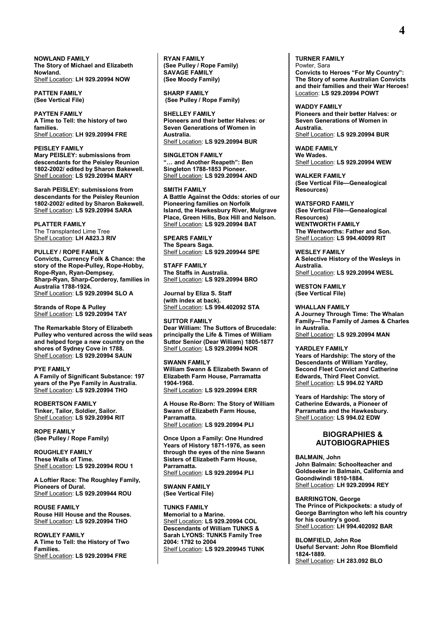**NOWLAND FAMILY The Story of Michael and Elizabeth Nowland.**  Shelf Location: **LH 929.20994 NOW**

**PATTEN FAMILY (See Vertical File)**

**PAYTEN FAMILY A Time to Tell: the history of two families.** Shelf Location: **LH 929.20994 FRE**

**PEISLEY FAMILY Mary PEISLEY: submissions from descendants for the Peisley Reunion 1802-2002/ edited by Sharon Bakewell.** Shelf Location: **LS 929.20994 MARY**

**Sarah PEISLEY: submissions from descendants for the Peisley Reunion 1802-2002/ edited by Sharon Bakewell.** Shelf Location: **LS 929.20994 SARA**

**PLATTER FAMILY** The Transplanted Lime Tree Shelf Location: **LH A823.3 RIV**

**PULLEY / ROPE FAMILY Convicts, Currency Folk & Chance: the story of the Rope-Pulley, Rope-Hobby, Rope-Ryan, Ryan-Dempsey, Sharp-Ryan, Sharp-Corderoy, families in Australia 1788-1924.** Shelf Location: **LS 929.20994 SLO A**

**Strands of Rope & Pulley** Shelf Location: **LS 929.20994 TAY**

**The Remarkable Story of Elizabeth Pulley who ventured across the wild seas and helped forge a new country on the shores of Sydney Cove in 1788.** Shelf Location: **LS 929.20994 SAUN**

#### **PYE FAMILY**

**A Family of Significant Substance: 197 years of the Pye Family in Australia.** Shelf Location: **LS 929.20994 THO**

**ROBERTSON FAMILY Tinker, Tailor, Soldier, Sailor.** Shelf Location: **LS 929.20994 RIT**

**ROPE FAMILY (See Pulley / Rope Family)**

**ROUGHLEY FAMILY These Walls of Time.** Shelf Location: **LS 929.20994 ROU 1**

**A Loftier Race: The Roughley Family, Pioneers of Dural.**  Shelf Location: **LS 929.209944 ROU**

**ROUSE FAMILY Rouse Hill House and the Rouses.** Shelf Location: **LS 929.20994 THO**

**ROWLEY FAMILY A Time to Tell: the History of Two Families.**  Shelf Location: **LS 929.20994 FRE**

**RYAN FAMILY (See Pulley / Rope Family) SAVAGE FAMILY (See Moody Family)**

**SHARP FAMILY (See Pulley / Rope Family)**

**SHELLEY FAMILY Pioneers and their better Halves: or Seven Generations of Women in Australia.** Shelf Location: **LS 929.20994 BUR**

**SINGLETON FAMILY "… and Another Reapeth": Ben Singleton 1788-1853 Pioneer.** Shelf Location: **LS 929.20994 AND**

**SMITH FAMILY A Battle Against the Odds: stories of our Pioneering families on Norfolk Island, the Hawkesbury River, Mulgrave Place, Green Hills, Box Hill and Nelson.** Shelf Location: **LS 929.20994 BAT**

**SPEARS FAMILY The Spears Saga.** Shelf Location: **LS 929.209944 SPE**

**STAFF FAMILY The Staffs in Australia.** Shelf Location: **LS 929.20994 BRO**

**Journal by Eliza S. Staff (with index at back).** Shelf Location: **LS 994.402092 STA** 

**SUTTOR FAMILY Dear William: The Suttors of Brucedale: principally the Life & Times of William Suttor Senior (Dear William) 1805-1877** Shelf Location: **LS 929.20994 NOR**

#### **SWANN FAMILY**

**William Swann & Elizabeth Swann of Elizabeth Farm House, Parramatta 1904-1968.** Shelf Location: **LS 929.20994 ERR**

**A House Re-Born: The Story of William Swann of Elizabeth Farm House, Parramatta.** Shelf Location: **LS 929.20994 PLI**

**Once Upon a Family: One Hundred Years of History 1871-1976, as seen through the eyes of the nine Swann Sisters of Elizabeth Farm House, Parramatta.** Shelf Location: **LS 929.20994 PLI**

**SWANN FAMILY (See Vertical File)**

**TUNKS FAMILY Memorial to a Marine.** Shelf Location: **LS 929.20994 COL Descendants of William TUNKS & Sarah LYONS: TUNKS Family Tree 2004: 1792 to 2004** Shelf Location: **LS 929.209945 TUNK** **TURNER FAMILY** Powter, Sara **Convicts to Heroes "For My Country": The Story of some Australian Convicts and their families and their War Heroes!** Location: **LS 929.20994 POWT**

**WADDY FAMILY Pioneers and their better Halves: or Seven Generations of Women in Australia.** Shelf Location: **LS 929.20994 BUR**

**WADE FAMILY We Wades.** Shelf Location: **LS 929.20994 WEW**

**WALKER FAMILY (See Vertical File—Genealogical Resources)**

**WATSFORD FAMILY (See Vertical File—Genealogical Resources) WENTWORTH FAMILY The Wentworths: Father and Son.** Shelf Location: **LS 994.40099 RIT**

**WESLEY FAMILY A Selective History of the Wesleys in Australia.** Shelf Location: **LS 929.20994 WESL**

**WESTON FAMILY (See Vertical File)**

**WHALLAN FAMILY A Journey Through Time: The Whalan Family—The Family of James & Charles in Australia.** Shelf Location: **LS 929.20994 MAN**

**YARDLEY FAMILY**

**Years of Hardship: The story of the Descendants of William Yardley, Second Fleet Convict and Catherine Edwards, Third Fleet Convict.** Shelf Location: **LS 994.02 YARD**

**Years of Hardship: The story of Catherine Edwards, a Pioneer of Parramatta and the Hawkesbury.** Shelf Location: **LS 994.02 EDW**

## **BIOGRAPHIES & AUTOBIOGRAPHIES**

**BALMAIN, John John Balmain: Schoolteacher and Goldseeker in Balmain, California and Goondiwindi 1810-1884.** Shelf Location: **LH 929.20994 REY**

**BARRINGTON, George The Prince of Pickpockets: a study of George Barrington who left his country for his country's good.** Shelf Location: **LH 994.402092 BAR**

**BLOMFIELD, John Roe Useful Servant: John Roe Blomfield 1824-1889.** Shelf Location: **LH 283.092 BLO**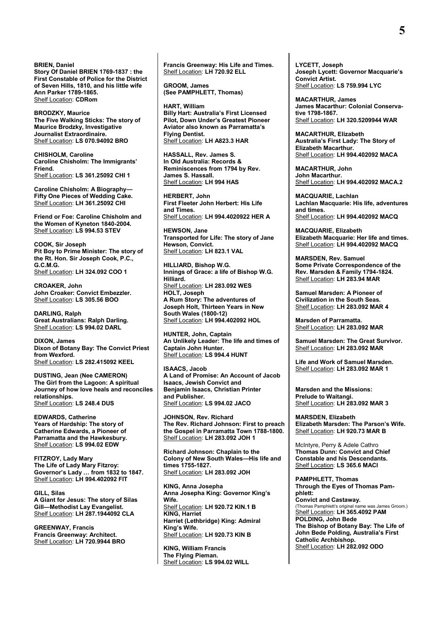#### **BRIEN, Daniel**

**Story Of Daniel BRIEN 1769-1837 : the First Constable of Police for the District of Seven Hills, 1810, and his little wife Ann Parker 1789-1865.** Shelf Location: **CDRom**

**BRODZKY, Maurice The Five Walking Sticks: The story of Maurice Brodzky, Investigative Journalist Extraordinaire.** Shelf Location: **LS 070.94092 BRO**

**CHISHOLM, Caroline Caroline Chisholm: The Immigrants' Friend.** Shelf Location: **LS 361.25092 CHI 1**

**Caroline Chisholm: A Biography— Fifty One Pieces of Wedding Cake.** Shelf Location: **LH 361.25092 CHI**

**Friend or Foe: Caroline Chisholm and the Women of Kyneton 1840-2004.** Shelf Location: **LS 994.53 STEV**

**COOK, Sir Joseph Pit Boy to Prime Minister: The story of the Rt. Hon. Sir Joseph Cook, P.C., G.C.M.G.** Shelf Location: **LH 324.092 COO 1**

**CROAKER, John John Croaker: Convict Embezzler.** Shelf Location: **LS 305.56 BOO**

**DARLING, Ralph Great Australians: Ralph Darling.** Shelf Location: **LS 994.02 DARL**

**DIXON, James Dixon of Botany Bay: The Convict Priest from Wexford.** Shelf Location: **LS 282.415092 KEEL**

**DUSTING, Jean (Nee CAMERON) The Girl from the Lagoon: A spiritual Journey of how love heals and reconciles relationships.** Shelf Location: **LS 248.4 DUS**

**EDWARDS, Catherine Years of Hardship: The story of Catherine Edwards, a Pioneer of Parramatta and the Hawkesbury.** Shelf Location: **LS 994.02 EDW**

**FITZROY, Lady Mary The Life of Lady Mary Fitzroy: Governor's Lady … from 1832 to 1847.** Shelf Location: **LH 994.402092 FIT**

**GILL, Silas A Giant for Jesus: The story of Silas Gill—Methodist Lay Evangelist.** Shelf Location: **LH 287.1944092 CLA**

**GREENWAY, Francis Francis Greenway: Architect.** Shelf Location: **LH 720.9944 BRO** **Francis Greenway: His Life and Times.** Shelf Location: **LH 720.92 ELL**

**GROOM, James (See PAMPHLETT, Thomas)**

**HART, William Billy Hart: Australia's First Licensed Pilot, Down Under's Greatest Pioneer Aviator also known as Parramatta's Flying Dentist.** Shelf Location: **LH A823.3 HAR**

**HASSALL, Rev. James S. In Old Australia: Records & Reminiscences from 1794 by Rev. James S. Hassall.** Shelf Location: **LH 994 HAS**

**HERBERT, John First Fleeter John Herbert: His Life and Times.** Shelf Location: **LH 994.4020922 HER A**

**HEWSON, Jane Transported for Life: The story of Jane Hewson, Convict.** Shelf Location: **LH 823.1 VAL**

**HILLIARD, Bishop W.G. Innings of Grace: a life of Bishop W.G. Hilliard.** Shelf Location: **LH 283.092 WES HOLT, Joseph A Rum Story: The adventures of Joseph Holt, Thirteen Years in New South Wales (1800-12)** Shelf Location: **LH 994.402092 HOL**

**HUNTER, John, Captain An Unlikely Leader: The life and times of Captain John Hunter.** Shelf Location: **LS 994.4 HUNT**

**ISAACS, Jacob A Land of Promise: An Account of Jacob Isaacs, Jewish Convict and Benjamin Isaacs, Christian Printer and Publisher.** Shelf Location: **LS 994.02 JACO**

**JOHNSON, Rev. Richard The Rev. Richard Johnson: First to preach the Gospel in Parramatta Town 1788-1800.** Shelf Location: **LH 283.092 JOH 1**

**Richard Johnson: Chaplain to the Colony of New South Wales—His life and times 1755-1827.** Shelf Location: **LH 283.092 JOH**

**KING, Anna Josepha Anna Josepha King: Governor King's Wife.** Shelf Location: **LH 920.72 KIN.1 B KING, Harriet Harriet (Lethbridge) King: Admiral King's Wife.** Shelf Location: **LH 920.73 KIN B**

**KING, William Francis The Flying Pieman.** Shelf Location: **LS 994.02 WILL** **LYCETT, Joseph Joseph Lycett: Governor Macquarie's Convict Artist.** Shelf Location: **LS 759.994 LYC**

**MACARTHUR, James James Macarthur: Colonial Conservative 1798-1867.** Shelf Location: **LH 320.5209944 WAR**

**MACARTHUR, Elizabeth Australia's First Lady: The Story of Elizabeth Macarthur.** Shelf Location: **LH 994.402092 MACA**

**MACARTHUR, John John Macarthur.** Shelf Location: **LH 994.402092 MACA.2**

**MACQUARIE, Lachlan Lachlan Macquarie: His life, adventures and times.** Shelf Location: **LH 994.402092 MACQ**

**MACQUARIE, Elizabeth Elizabeth Macquarie: Her life and times.** Shelf Location: **LH 994.402092 MACQ**

**MARSDEN, Rev. Samuel Some Private Correspondence of the Rev. Marsden & Family 1794-1824.** Shelf Location: **LH 283.94 MAR**

**Samuel Marsden: A Pioneer of Civilization in the South Seas.** Shelf Location: **LH 283.092 MAR 4**

**Marsden of Parramatta.** Shelf Location: **LH 283.092 MAR** 

**Samuel Marsden: The Great Survivor.** Shelf Location: **LH 283.092 MAR** 

**Life and Work of Samuel Marsden.** Shelf Location: **LH 283.092 MAR 1**

**Marsden and the Missions: Prelude to Waitangi.** Shelf Location: **LH 283.092 MAR 3**

**MARSDEN, Elizabeth Elizabeth Marsden: The Parson's Wife.** Shelf Location: **LH 920.73 MAR B** 

McIntyre, Perry & Adele Cathro **Thomas Dunn: Convict and Chief Constable and his Descendants.** Shelf Location: **LS 365.6 MACI**

**PAMPHLETT, Thomas Through the Eyes of Thomas Pamphlett: Convict and Castaway.**  (Thomas Pamphlett's original name was James Groom.) Shelf Location: **LH 365.4092 PAM POLDING, John Bede The Bishop of Botany Bay: The Life of John Bede Polding, Australia's First Catholic Archbishop.** Shelf Location: **LH 282.092 ODO**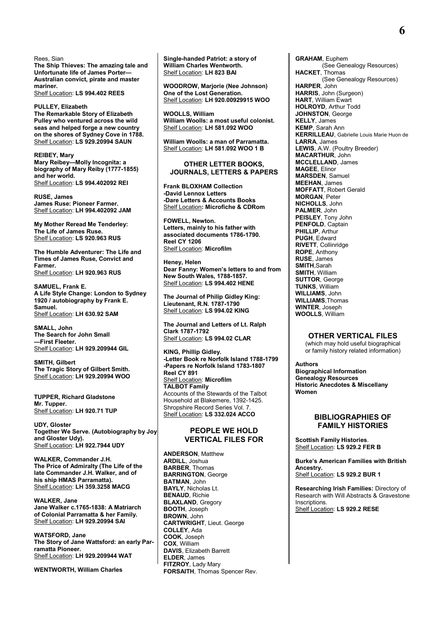Rees, Sian **The Ship Thieves: The amazing tale and Unfortunate life of James Porter— Australian convict, pirate and master mariner.**  Shelf Location: **LS 994.402 REES**

**PULLEY, Elizabeth The Remarkable Story of Elizabeth Pulley who ventured across the wild seas and helped forge a new country on the shores of Sydney Cove in 1788.** Shelf Location: **LS 929.20994 SAUN**

**REIBEY, Mary Mary Reibey—Molly Incognita: a biography of Mary Reiby (1777-1855) and her world.** Shelf Location: **LS 994.402092 REI** 

**RUSE, James James Ruse: Pioneer Farmer.** Shelf Location: **LH 994.402092 JAM**

**My Mother Reread Me Tenderley: The Life of James Ruse.** Shelf Location: **LS 920.963 RUS**

**The Humble Adventurer: The Life and Times of James Ruse, Convict and Farmer.** Shelf Location: **LH 920.963 RUS**

**SAMUEL, Frank E. A Life Style Change: London to Sydney 1920 / autobiography by Frank E. Samuel.** Shelf Location: **LH 630.92 SAM**

**SMALL, John The Search for John Small —First Fleeter.** Shelf Location: **LH 929.209944 GIL**

**SMITH, Gilbert The Tragic Story of Gilbert Smith.** Shelf Location: **LH 929.20994 WOO**

**TUPPER, Richard Gladstone Mr. Tupper.** Shelf Location: **LH 920.71 TUP**

**UDY, Gloster Together We Serve. (Autobiography by Joy and Gloster Udy).** Shelf Location: **LH 922.7944 UDY**

**WALKER, Commander J.H. The Price of Admiralty (The Life of the late Commander J.H. Walker, and of his ship HMAS Parramatta).** Shelf Location: **LH 359.3258 MACG**

**WALKER, Jane Jane Walker c.1765-1838: A Matriarch of Colonial Parramatta & her Family.** Shelf Location: **LH 929.20994 SAI**

**WATSFORD, Jane The Story of Jane Wattsford: an early Parramatta Pioneer.** Shelf Location: **LH 929.209944 WAT** 

**WENTWORTH, William Charles**

**Single-handed Patriot: a story of William Charles Wentworth.** Shelf Location: **LH 823 BAI** 

**WOODROW, Marjorie (Nee Johnson) One of the Lost Generation.** Shelf Location: **LH 920.00929915 WOO**

**WOOLLS, William William Woolls: a most useful colonist.** Shelf Location: **LH 581.092 WOO**

**William Woolls: a man of Parramatta.** Shelf Location: **LH 581.092 WOO 1 B**

#### **OTHER LETTER BOOKS, JOURNALS, LETTERS & PAPERS**

**Frank BLOXHAM Collection -David Lennox Letters -Dare Letters & Accounts Books** Shelf Location**: Microfiche & CDRom**

**FOWELL, Newton. Letters, mainly to his father with associated documents 1786-1790. Reel CY 1206** Shelf Location: **Microfilm**

**Heney, Helen Dear Fanny: Women's letters to and from New South Wales, 1788-1857.** Shelf Location: **LS 994.402 HENE**

**The Journal of Philip Gidley King: Lieutenant, R.N. 1787-1790** Shelf Location: **LS 994.02 KING**

**The Journal and Letters of Lt. Ralph Clark 1787-1792** Shelf Location: **LS 994.02 CLAR**

**KING, Phillip Gidley. -Letter Book re Norfolk Island 1788-1799 -Papers re Norfolk Island 1783-1807 Reel CY 891** Shelf Location: **Microfilm TALBOT Family** Accounts of the Stewards of the Talbot Household at Blakemere, 1392-1425. Shropshire Record Series Vol. 7. Shelf Location: **LS 332.024 ACCO**

## **PEOPLE WE HOLD VERTICAL FILES FOR**

**ANDERSON**, Matthew **ARDILL**, Joshua **BARBER**, Thomas **BARRINGTON**, George **BATMAN**, John **BAYLY**, Nicholas Lt. **BENAUD**, Richie **BLAXLAND**, Gregory **BOOTH**, Joseph **BROWN**, John **CARTWRIGHT**, Lieut. George **COLLEY**, Ada **COOK**, Joseph **COX**, William **DAVIS**, Elizabeth Barrett **ELDER**, James **FITZROY**, Lady Mary **FORSAITH**, Thomas Spencer Rev. **GRAHAM**, Euphem (See Genealogy Resources) **HACKET**, Thomas (See Genealogy Resources) **HARPER**, John **HARRIS**, John (Surgeon) **HART**, William Ewart **HOLROYD**, Arthur Todd **JOHNSTON**, George **KELLY**, James **KEMP**, Sarah Ann **KERRILLEAU**, Gabrielle Louis Marie Huon de **LARRA**, James **LEWIS**, A.W. (Poultry Breeder) **MACARTHUR**, John **MCCLELLAND**, James **MAGEE**, Elinor **MARSDEN**, Samuel **MEEHAN**, James **MOFFATT**, Robert Gerald **MORGAN**, Peter **NICHOLLS**, John **PALMER**, John **PEISLEY**, Tony John **PENFOLD**, Captain **PHILLIP**, Arthur **PUGH**, Edward **RIVETT**, Collinridge **ROPE**, Anthony **RUSE**, James **SMITH**,Sarah **SMITH**, William **SUTTOR**, George **TUNKS**, William **WILLIAMS**, John **WILLIAMS**,Thomas **WINTER**, Joseph **WOOLLS**, William

### **OTHER VERTICAL FILES**

(which may hold useful biographical or family history related information)

**Authors Biographical Information Genealogy Resources Historic Anecdotes & Miscellany Women**

## **BIBLIOGRAPHIES OF FAMILY HISTORIES**

**Scottish Family Histories**. Shelf Location: **LS 929.2 FER B**

**Burke's American Families with British Ancestry.** Shelf Location: **LS 929.2 BUR 1**

**Researching Irish Families:** Directory of Research with Will Abstracts & Gravestone Inscriptions. Shelf Location: **LS 929.2 RESE**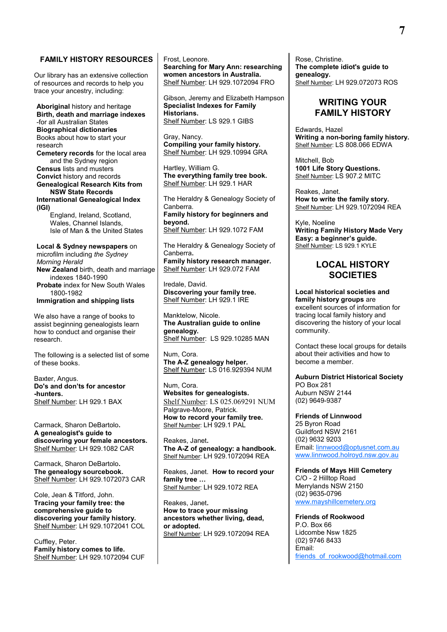## **FAMILY HISTORY RESOURCES**

Our library has an extensive collection of resources and records to help you trace your ancestry, including:

**Aboriginal** history and heritage **Birth, death and marriage indexes** -for all Australian States **Biographical dictionaries** Books about how to start your research **Cemetery records** for the local area and the Sydney region **Census** lists and musters **Convict** history and records **Genealogical Research Kits from NSW State Records International Genealogical Index (IGI)**

England, Ireland, Scotland, Wales, Channel Islands, Isle of Man & the United States

**Local & Sydney newspapers** on microfilm including *the Sydney Morning Herald* **New Zealand** birth, death and marriage indexes 1840-1990 **Probate** index for New South Wales 1800-1982 **Immigration and shipping lists**

We also have a range of books to assist beginning genealogists learn how to conduct and organise their research.

The following is a selected list of some of these books.

Baxter, Angus. **Do's and don'ts for ancestor -hunters.** Shelf Number: LH 929.1 BAX

Carmack, Sharon DeBartolo**. A genealogist's guide to discovering your female ancestors.** Shelf Number: LH 929.1082 CAR

Carmack, Sharon DeBartolo**. The genealogy sourcebook.** Shelf Number: LH 929.1072073 CAR

Cole, Jean & Titford, John. **Tracing your family tree: the comprehensive guide to discovering your family history.** Shelf Number: LH 929.1072041 COL

Cuffley, Peter. **Family history comes to life.** Shelf Number: LH 929.1072094 CUF Frost, Leonore.

**Searching for Mary Ann: researching women ancestors in Australia.** Shelf Number: LH 929.1072094 FRO

Gibson, Jeremy and Elizabeth Hampson **Specialist Indexes for Family Historians.** Shelf Number: LS 929.1 GIBS

Gray, Nancy. **Compiling your family history.** Shelf Number: LH 929.10994 GRA

Hartley, William G. **The everything family tree book.** Shelf Number: LH 929.1 HAR

The Heraldry & Genealogy Society of Canberra. **Family history for beginners and beyond.** Shelf Number: LH 929.1072 FAM

The Heraldry & Genealogy Society of Canberra**. Family history research manager.** Shelf Number: LH 929.072 FAM

Iredale, David. **Discovering your family tree.** Shelf Number: LH 929.1 IRE

Manktelow, Nicole. **The Australian guide to online genealogy.** Shelf Number: LS 929.10285 MAN

Num, Cora. **The A-Z genealogy helper.** Shelf Number: LS 016.929394 NUM

Num, Cora. **Websites for genealogists.** Shelf Number: LS 025.069291 NUM Palgrave-Moore, Patrick. **How to record your family tree.** Shelf Number: LH 929.1 PAL

Reakes, Janet**. The A-Z of genealogy: a handbook.** Shelf Number: LH 929.1072094 REA

Reakes, Janet. **How to record your family tree …** Shelf Number: LH 929.1072 REA

Reakes, Janet**. How to trace your missing ancestors whether living, dead, or adopted.** Shelf Number: LH 929.1072094 REA Rose, Christine. **The complete idiot's guide to genealogy.** Shelf Number: LH 929.072073 ROS

## **WRITING YOUR FAMILY HISTORY**

Edwards, Hazel **Writing a non-boring family history.** Shelf Number: LS 808.066 EDWA

Mitchell, Bob **1001 Life Story Questions.** Shelf Number: LS 907.2 MITC

Reakes, Janet. **How to write the family story.** Shelf Number: LH 929.1072094 REA

Kyle, Noeline **Writing Family History Made Very Easy: a beginner's guide.** Shelf Number: LS 929.1 KYLE

## **LOCAL HISTORY SOCIETIES**

**Local historical societies and family history groups** are excellent sources of information for tracing local family history and discovering the history of your local community.

Contact these local groups for details about their activities and how to become a member.

**Auburn District Historical Society** PO Box 281 Auburn NSW 2144 (02) 9649-9387

**Friends of Linnwood** 25 Byron Road Guildford NSW 2161 (02) 9632 9203 Email: [linnwood@optusnet.com.au](mailto:linnwood@optusnet.com.au) [www.linnwood.holroyd.nsw.gov.au](http://www.linnwood.holroyd.nsw.gov.au/)

**Friends of Mays Hill Cemetery** C/O - 2 Hilltop Road Merrylands NSW 2150 (02) 9635-0796 [www.mayshillcemetery.org](http://www.mayshillcemetery.org/)

**Friends of Rookwood** P.O. Box 66 Lidcombe Nsw 1825 (02) 9746 8433 Email: friends of rookwood@hotmail.com